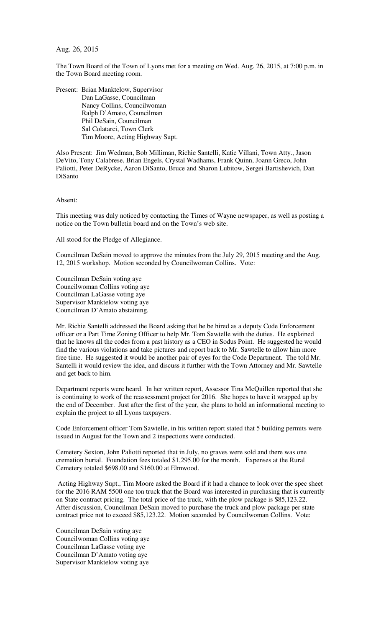Aug. 26, 2015

The Town Board of the Town of Lyons met for a meeting on Wed. Aug. 26, 2015, at 7:00 p.m. in the Town Board meeting room.

Present: Brian Manktelow, Supervisor Dan LaGasse, Councilman Nancy Collins, Councilwoman Ralph D'Amato, Councilman Phil DeSain, Councilman Sal Colatarci, Town Clerk Tim Moore, Acting Highway Supt.

Also Present: Jim Wedman, Bob Milliman, Richie Santelli, Katie Villani, Town Atty., Jason DeVito, Tony Calabrese, Brian Engels, Crystal Wadhams, Frank Quinn, Joann Greco, John Paliotti, Peter DeRycke, Aaron DiSanto, Bruce and Sharon Lubitow, Sergei Bartishevich, Dan DiSanto

Absent:

This meeting was duly noticed by contacting the Times of Wayne newspaper, as well as posting a notice on the Town bulletin board and on the Town's web site.

All stood for the Pledge of Allegiance.

Councilman DeSain moved to approve the minutes from the July 29, 2015 meeting and the Aug. 12, 2015 workshop. Motion seconded by Councilwoman Collins. Vote:

Councilman DeSain voting aye Councilwoman Collins voting aye Councilman LaGasse voting aye Supervisor Manktelow voting aye Councilman D'Amato abstaining.

Mr. Richie Santelli addressed the Board asking that he be hired as a deputy Code Enforcement officer or a Part Time Zoning Officer to help Mr. Tom Sawtelle with the duties. He explained that he knows all the codes from a past history as a CEO in Sodus Point. He suggested he would find the various violations and take pictures and report back to Mr. Sawtelle to allow him more free time. He suggested it would be another pair of eyes for the Code Department. The told Mr. Santelli it would review the idea, and discuss it further with the Town Attorney and Mr. Sawtelle and get back to him.

Department reports were heard. In her written report, Assessor Tina McQuillen reported that she is continuing to work of the reassessment project for 2016. She hopes to have it wrapped up by the end of December. Just after the first of the year, she plans to hold an informational meeting to explain the project to all Lyons taxpayers.

Code Enforcement officer Tom Sawtelle, in his written report stated that 5 building permits were issued in August for the Town and 2 inspections were conducted.

Cemetery Sexton, John Paliotti reported that in July, no graves were sold and there was one cremation burial. Foundation fees totaled \$1,295.00 for the month. Expenses at the Rural Cemetery totaled \$698.00 and \$160.00 at Elmwood.

 Acting Highway Supt., Tim Moore asked the Board if it had a chance to look over the spec sheet for the 2016 RAM 5500 one ton truck that the Board was interested in purchasing that is currently on State contract pricing. The total price of the truck, with the plow package is \$85,123.22. After discussion, Councilman DeSain moved to purchase the truck and plow package per state contract price not to exceed \$85,123.22. Motion seconded by Councilwoman Collins. Vote:

Councilman DeSain voting aye Councilwoman Collins voting aye Councilman LaGasse voting aye Councilman D'Amato voting aye Supervisor Manktelow voting aye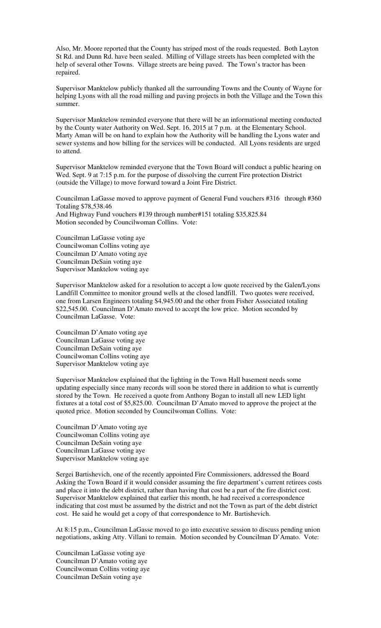Also, Mr. Moore reported that the County has striped most of the roads requested. Both Layton St Rd. and Dunn Rd. have been sealed. Milling of Village streets has been completed with the help of several other Towns. Village streets are being paved. The Town's tractor has been repaired.

Supervisor Manktelow publicly thanked all the surrounding Towns and the County of Wayne for helping Lyons with all the road milling and paving projects in both the Village and the Town this summer.

Supervisor Manktelow reminded everyone that there will be an informational meeting conducted by the County water Authority on Wed. Sept. 16, 2015 at 7 p.m. at the Elementary School. Marty Aman will be on hand to explain how the Authority will be handling the Lyons water and sewer systems and how billing for the services will be conducted. All Lyons residents are urged to attend.

Supervisor Manktelow reminded everyone that the Town Board will conduct a public hearing on Wed. Sept. 9 at 7:15 p.m. for the purpose of dissolving the current Fire protection District (outside the Village) to move forward toward a Joint Fire District.

Councilman LaGasse moved to approve payment of General Fund vouchers #316 through #360 Totaling \$78,538.46 And Highway Fund vouchers #139 through number#151 totaling \$35,825.84 Motion seconded by Councilwoman Collins. Vote:

Councilman LaGasse voting aye Councilwoman Collins voting aye Councilman D'Amato voting aye Councilman DeSain voting aye Supervisor Manktelow voting aye

Supervisor Manktelow asked for a resolution to accept a low quote received by the Galen/Lyons Landfill Committee to monitor ground wells at the closed landfill. Two quotes were received, one from Larsen Engineers totaling \$4,945.00 and the other from Fisher Associated totaling \$22,545.00. Councilman D'Amato moved to accept the low price. Motion seconded by Councilman LaGasse. Vote:

Councilman D'Amato voting aye Councilman LaGasse voting aye Councilman DeSain voting aye Councilwoman Collins voting aye Supervisor Manktelow voting aye

Supervisor Manktelow explained that the lighting in the Town Hall basement needs some updating especially since many records will soon be stored there in addition to what is currently stored by the Town. He received a quote from Anthony Bogan to install all new LED light fixtures at a total cost of \$5,825.00. Councilman D'Amato moved to approve the project at the quoted price. Motion seconded by Councilwoman Collins. Vote:

Councilman D'Amato voting aye Councilwoman Collins voting aye Councilman DeSain voting aye Councilman LaGasse voting aye Supervisor Manktelow voting aye

Sergei Bartishevich, one of the recently appointed Fire Commissioners, addressed the Board Asking the Town Board if it would consider assuming the fire department's current retirees costs and place it into the debt district, rather than having that cost be a part of the fire district cost. Supervisor Manktelow explained that earlier this month, he had received a correspondence indicating that cost must be assumed by the district and not the Town as part of the debt district cost. He said he would get a copy of that correspondence to Mr. Bartishevich.

At 8:15 p.m., Councilman LaGasse moved to go into executive session to discuss pending union negotiations, asking Atty. Villani to remain. Motion seconded by Councilman D'Amato. Vote:

Councilman LaGasse voting aye Councilman D'Amato voting aye Councilwoman Collins voting aye Councilman DeSain voting aye